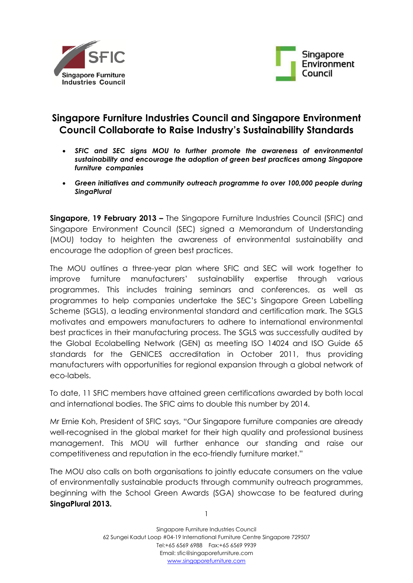



# **Singapore Furniture Industries Council and Singapore Environment Council Collaborate to Raise Industry's Sustainability Standards**

- *SFIC and SEC signs MOU to further promote the awareness of environmental sustainability and encourage the adoption of green best practices among Singapore furniture companies*
- *Green initiatives and community outreach programme to over 100,000 people during SingaPlural*

**Singapore, 19 February 2013 –** The Singapore Furniture Industries Council (SFIC) and Singapore Environment Council (SEC) signed a Memorandum of Understanding (MOU) today to heighten the awareness of environmental sustainability and encourage the adoption of green best practices.

The MOU outlines a three-year plan where SFIC and SEC will work together to improve furniture manufacturers' sustainability expertise through various programmes. This includes training seminars and conferences, as well as programmes to help companies undertake the SEC's Singapore Green Labelling Scheme (SGLS), a leading environmental standard and certification mark. The SGLS motivates and empowers manufacturers to adhere to international environmental best practices in their manufacturing process. The SGLS was successfully audited by the Global Ecolabelling Network (GEN) as meeting ISO 14024 and ISO Guide 65 standards for the GENICES accreditation in October 2011, thus providing manufacturers with opportunities for regional expansion through a global network of eco-labels.

To date, 11 SFIC members have attained green certifications awarded by both local and international bodies. The SFIC aims to double this number by 2014.

Mr Ernie Koh, President of SFIC says, "Our Singapore furniture companies are already well-recognised in the global market for their high quality and professional business management. This MOU will further enhance our standing and raise our competitiveness and reputation in the eco-friendly furniture market."

The MOU also calls on both organisations to jointly educate consumers on the value of environmentally sustainable products through community outreach programmes, beginning with the School Green Awards (SGA) showcase to be featured during **SingaPlural 2013.** 

1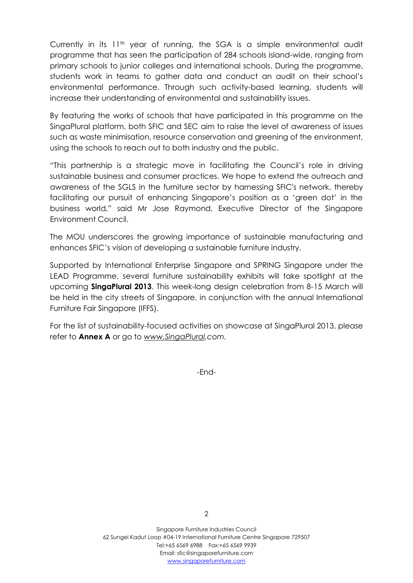Currently in its  $11<sup>th</sup>$  year of running, the SGA is a simple environmental audit programme that has seen the participation of 284 schools island-wide, ranging from primary schools to junior colleges and international schools. During the programme, students work in teams to gather data and conduct an audit on their school's environmental performance. Through such activity-based learning, students will increase their understanding of environmental and sustainability issues.

By featuring the works of schools that have participated in this programme on the SingaPlural platform, both SFIC and SEC aim to raise the level of awareness of issues such as waste minimisation, resource conservation and greening of the environment, using the schools to reach out to both industry and the public.

"This partnership is a strategic move in facilitating the Council's role in driving sustainable business and consumer practices. We hope to extend the outreach and awareness of the SGLS in the furniture sector by harnessing SFIC's network, thereby facilitating our pursuit of enhancing Singapore's position as a 'green dot' in the business world," said Mr Jose Raymond, Executive Director of the Singapore Environment Council.

The MOU underscores the growing importance of sustainable manufacturing and enhances SFIC's vision of developing a sustainable furniture industry.

Supported by International Enterprise Singapore and SPRING Singapore under the LEAD Programme, several furniture sustainability exhibits will take spotlight at the upcoming **SingaPlural 2013**. This week-long design celebration from 8-15 March will be held in the city streets of Singapore, in conjunction with the annual International Furniture Fair Singapore (IFFS).

For the list of sustainability-focused activities on showcase at SingaPlural 2013, please refer to **Annex A** or go to *[www.SingaPlural.](http://www.singaplural/)com.*

-End-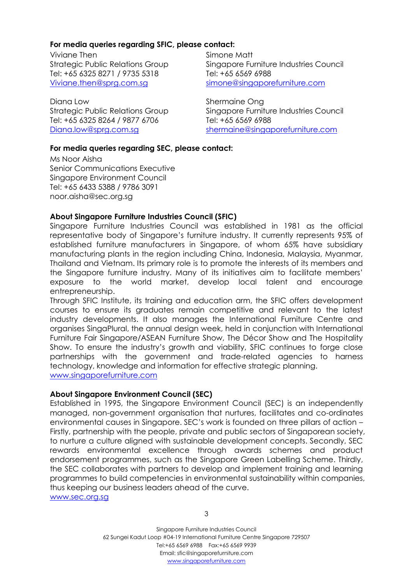## **For media queries regarding SFIC, please contact:**

Viviane Then Strategic Public Relations Group Tel: +65 6325 8271 / 9735 5318 [Viviane.then@sprg.com.sg](mailto:Viviane.then@sprg.com.sg)

Diana Low Strategic Public Relations Group Tel: +65 6325 8264 / 9877 6706 [Diana.low@sprg.com.sg](mailto:Diana.low@sprg.com.sg)

Simone Matt Singapore Furniture Industries Council Tel: +65 6569 6988 [simone@singaporefurniture.com](mailto:simone@singaporefurniture.com)

Shermaine Ong Singapore Furniture Industries Council Tel: +65 6569 6988 [shermaine@singaporefurniture.com](mailto:shermaine@singaporefurniture.com)

## **For media queries regarding SEC, please contact:**

Ms Noor Aisha Senior Communications Executive Singapore Environment Council Tel: +65 6433 5388 / 9786 3091 noor.aisha@sec.org.sg

## **About Singapore Furniture Industries Council (SFIC)**

Singapore Furniture Industries Council was established in 1981 as the official representative body of Singapore's furniture industry. It currently represents 95% of established furniture manufacturers in Singapore, of whom 65% have subsidiary manufacturing plants in the region including China, Indonesia, Malaysia, Myanmar, Thailand and Vietnam. Its primary role is to promote the interests of its members and the Singapore furniture industry. Many of its initiatives aim to facilitate members' exposure to the world market, develop local talent and encourage entrepreneurship.

Through SFIC Institute, its training and education arm, the SFIC offers development courses to ensure its graduates remain competitive and relevant to the latest industry developments. It also manages the International Furniture Centre and organises SingaPlural, the annual design week, held in conjunction with International Furniture Fair Singapore/ASEAN Furniture Show, The Décor Show and The Hospitality Show. To ensure the industry's growth and viability, SFIC continues to forge close partnerships with the government and trade-related agencies to harness technology, knowledge and information for effective strategic planning. [www.singaporefurniture.com](http://www.singaporefurniture.com/)

## **About Singapore Environment Council (SEC)**

Established in 1995, the Singapore Environment Council (SEC) is an independently managed, non-government organisation that nurtures, facilitates and co-ordinates environmental causes in Singapore. SEC's work is founded on three pillars of action – Firstly, partnership with the people, private and public sectors of Singaporean society, to nurture a culture aligned with sustainable development concepts. Secondly, SEC rewards environmental excellence through awards schemes and product endorsement programmes, such as the Singapore Green Labelling Scheme. Thirdly, the SEC collaborates with partners to develop and implement training and learning programmes to build competencies in environmental sustainability within companies, thus keeping our business leaders ahead of the curve. [www.sec.org.sg](http://www.sec.org.sg/)

Singapore Furniture Industries Council 62 Sungei Kadut Loop #04-19 International Furniture Centre Singapore 729507 Tel:+65 6569 6988 Fax:+65 6569 9939 Email: sfic@singaporefurniture.com www.singaporefurniture.com

3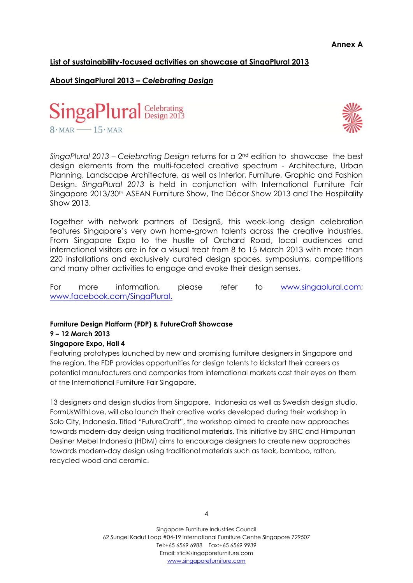## **List of sustainability-focused activities on showcase at SingaPlural 2013**

# **About SingaPlural 2013 –** *Celebrating Design*





*SingaPlural 2013 – Celebrating Design* returns for a 2nd edition to showcase the best design elements from the multi-faceted creative spectrum - Architecture, Urban Planning, Landscape Architecture, as well as Interior, Furniture, Graphic and Fashion Design. *SingaPlural 2013* is held in conjunction with International Furniture Fair Singapore 2013/30<sup>th</sup> ASEAN Furniture Show, The Décor Show 2013 and The Hospitality Show 2013.

Together with network partners of DesignS, this week-long design celebration features Singapore's very own home-grown talents across the creative industries. From Singapore Expo to the hustle of Orchard Road, local audiences and international visitors are in for a visual treat from 8 to 15 March 2013 with more than 220 installations and exclusively curated design spaces, symposiums, competitions and many other activities to engage and evoke their design senses.

For more information, please refer to [www.singaplural.com;](http://www.singaplural.com/) [www.facebook.com/SingaPlural.](http://www.facebook.com/SingaPlural)

#### **Furniture Design Platform (FDP) & FutureCraft Showcase**

#### **9 – 12 March 2013**

#### **Singapore Expo, Hall 4**

Featuring prototypes launched by new and promising furniture designers in Singapore and the region, the FDP provides opportunities for design talents to kickstart their careers as potential manufacturers and companies from international markets cast their eyes on them at the International Furniture Fair Singapore.

13 designers and design studios from Singapore, Indonesia as well as Swedish design studio, FormUsWithLove, will also launch their creative works developed during their workshop in Solo City, Indonesia. Titled "FutureCraft", the workshop aimed to create new approaches towards modern-day design using traditional materials. This initiative by SFIC and Himpunan Desiner Mebel Indonesia (HDMI) aims to encourage designers to create new approaches towards modern-day design using traditional materials such as teak, bamboo, rattan, recycled wood and ceramic.

Singapore Furniture Industries Council 62 Sungei Kadut Loop #04-19 International Furniture Centre Singapore 729507 Tel:+65 6569 6988 Fax:+65 6569 9939 Email: sfic@singaporefurniture.com www.singaporefurniture.com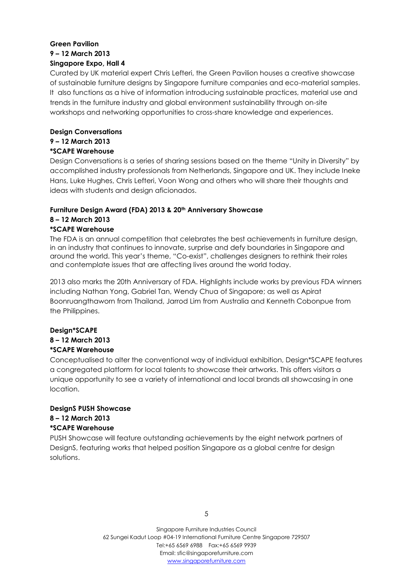# **Green Pavilion 9 – 12 March 2013 Singapore Expo, Hall 4**

Curated by UK material expert Chris Lefteri, the Green Pavilion houses a creative showcase of sustainable furniture designs by Singapore furniture companies and eco-material samples. It also functions as a hive of information introducing sustainable practices, material use and trends in the furniture industry and global environment sustainability through on-site workshops and networking opportunities to cross-share knowledge and experiences.

# **Design Conversations**

#### **9 – 12 March 2013 \*SCAPE Warehouse**

Design Conversations is a series of sharing sessions based on the theme "Unity in Diversity" by accomplished industry professionals from Netherlands, Singapore and UK. They include Ineke Hans, Luke Hughes, Chris Lefteri, Voon Wong and others who will share their thoughts and ideas with students and design aficionados.

# **Furniture Design Award (FDA) 2013 & 20th Anniversary Showcase**

#### **8 – 12 March 2013 \*SCAPE Warehouse**

The FDA is an annual competition that celebrates the best achievements in furniture design, in an industry that continues to innovate, surprise and defy boundaries in Singapore and around the world. This year's theme, "Co-exist", challenges designers to rethink their roles and contemplate issues that are affecting lives around the world today.

2013 also marks the 20th Anniversary of FDA. Highlights include works by previous FDA winners including Nathan Yong, Gabriel Tan, Wendy Chua of Singapore; as well as Apirat Boonruangthaworn from Thailand, Jarrod Lim from Australia and Kenneth Cobonpue from the Philippines.

# **Design\*SCAPE**

#### **8 – 12 March 2013 \*SCAPE Warehouse**

# Conceptualised to alter the conventional way of individual exhibition, Design\*SCAPE features a congregated platform for local talents to showcase their artworks. This offers visitors a unique opportunity to see a variety of international and local brands all showcasing in one location.

# **DesignS PUSH Showcase**

# **8 – 12 March 2013 \*SCAPE Warehouse**

PUSH Showcase will feature outstanding achievements by the eight network partners of DesignS, featuring works that helped position Singapore as a global centre for design solutions.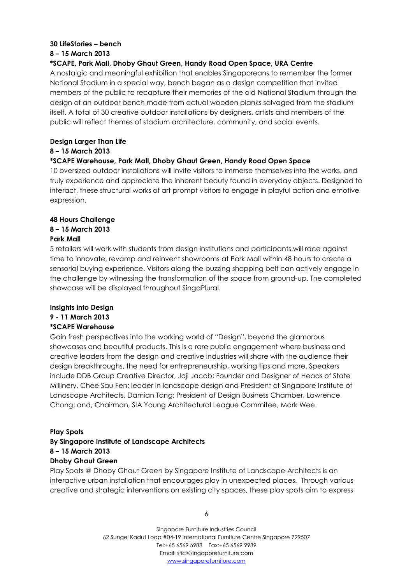### **30 LifeStories – bench**

#### **8 – 15 March 2013**

#### **\*SCAPE, Park Mall, Dhoby Ghaut Green, Handy Road Open Space, URA Centre**

A nostalgic and meaningful exhibition that enables Singaporeans to remember the former National Stadium in a special way, bench began as a design competition that invited members of the public to recapture their memories of the old National Stadium through the design of an outdoor bench made from actual wooden planks salvaged from the stadium itself. A total of 30 creative outdoor installations by designers, artists and members of the public will reflect themes of stadium architecture, community, and social events.

#### **Design Larger Than Life**

#### **8 – 15 March 2013**

## **\*SCAPE Warehouse, Park Mall, Dhoby Ghaut Green, Handy Road Open Space**

10 oversized outdoor installations will invite visitors to immerse themselves into the works, and truly experience and appreciate the inherent beauty found in everyday objects. Designed to interact, these structural works of art prompt visitors to engage in playful action and emotive expression.

## **48 Hours Challenge**

## **8 – 15 March 2013**

#### **Park Mall**

5 retailers will work with students from design institutions and participants will race against time to innovate, revamp and reinvent showrooms at Park Mall within 48 hours to create a sensorial buying experience. Visitors along the buzzing shopping belt can actively engage in the challenge by witnessing the transformation of the space from ground-up. The completed showcase will be displayed throughout SingaPlural.

# **Insights into Design**

# **9 - 11 March 2013**

#### **\*SCAPE Warehouse**

Gain fresh perspectives into the working world of "Design", beyond the glamorous showcases and beautiful products. This is a rare public engagement where business and creative leaders from the design and creative industries will share with the audience their design breakthroughs, the need for entrepreneurship, working tips and more. Speakers include DDB Group Creative Director, Joji Jacob; Founder and Designer of Heads of State Millinery, Chee Sau Fen; leader in landscape design and President of Singapore Institute of Landscape Architects, Damian Tang; President of Design Business Chamber, Lawrence Chong; and, Chairman, SIA Young Architectural League Commitee, Mark Wee.

#### **Play Spots**

## **By Singapore Institute of Landscape Architects 8 – 15 March 2013 Dhoby Ghaut Green**

Play Spots @ Dhoby Ghaut Green by Singapore Institute of Landscape Architects is an interactive urban installation that encourages play in unexpected places. Through various creative and strategic interventions on existing city spaces, these play spots aim to express

6

Singapore Furniture Industries Council 62 Sungei Kadut Loop #04-19 International Furniture Centre Singapore 729507 Tel:+65 6569 6988 Fax:+65 6569 9939 Email: sfic@singaporefurniture.com www.singaporefurniture.com